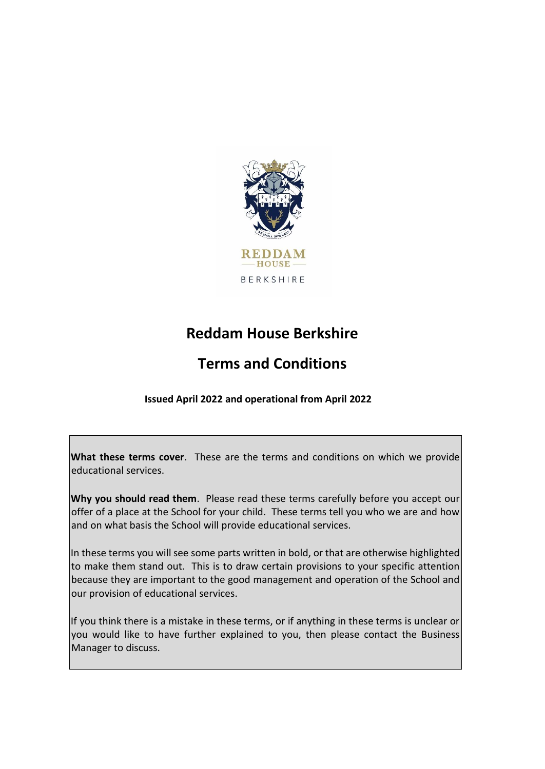

# **Reddam House Berkshire**

# **Terms and Conditions**

**Issued April 2022 and operational from April 2022**

**What these terms cover**. These are the terms and conditions on which we provide educational services.

**Why you should read them**. Please read these terms carefully before you accept our offer of a place at the School for your child. These terms tell you who we are and how and on what basis the School will provide educational services.

In these terms you will see some parts written in bold, or that are otherwise highlighted to make them stand out. This is to draw certain provisions to your specific attention because they are important to the good management and operation of the School and our provision of educational services.

If you think there is a mistake in these terms, or if anything in these terms is unclear or you would like to have further explained to you, then please contact the Business Manager to discuss.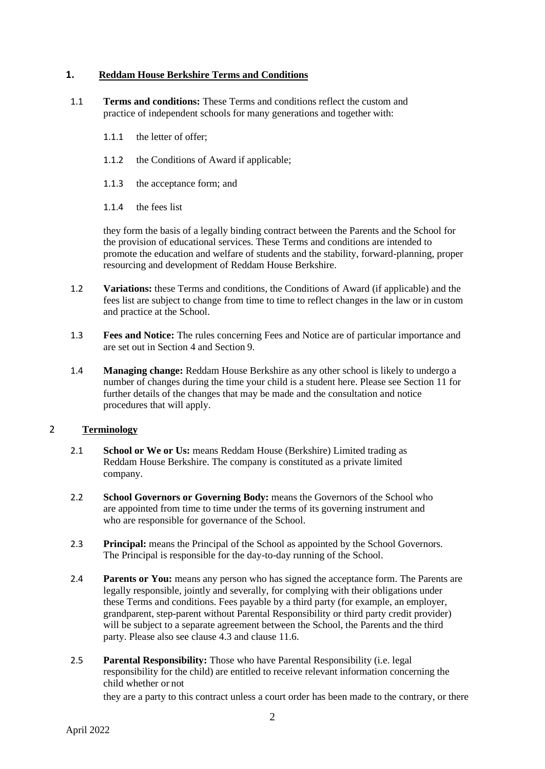## **1. Reddam House Berkshire Terms and Conditions**

- 1.1 **Terms and conditions:** These Terms and conditions reflect the custom and practice of independent schools for many generations and together with:
	- 1.1.1 the letter of offer;
	- 1.1.2 the Conditions of Award if applicable;
	- 1.1.3 the acceptance form; and
	- 1.1.4 the fees list

they form the basis of a legally binding contract between the Parents and the School for the provision of educational services. These Terms and conditions are intended to promote the education and welfare of students and the stability, forward-planning, proper resourcing and development of Reddam House Berkshire.

- 1.2 **Variations:** these Terms and conditions, the Conditions of Award (if applicable) and the fees list are subject to change from time to time to reflect changes in the law or in custom and practice at the School.
- 1.3 **Fees and Notice:** The rules concerning Fees and Notice are of particular importance and are set out in Section 4 and Section 9.
- 1.4 **Managing change:** Reddam House Berkshire as any other school is likely to undergo a number of changes during the time your child is a student here. Please see Section 11 for further details of the changes that may be made and the consultation and notice procedures that will apply.

# 2 **Terminology**

- 2.1 **School or We or Us:** means Reddam House (Berkshire) Limited trading as Reddam House Berkshire. The company is constituted as a private limited company.
- 2.2 **School Governors or Governing Body:** means the Governors of the School who are appointed from time to time under the terms of its governing instrument and who are responsible for governance of the School.
- 2.3 **Principal:** means the Principal of the School as appointed by the School Governors. The Principal is responsible for the day-to-day running of the School.
- 2.4 **Parents or You:** means any person who has signed the acceptance form. The Parents are legally responsible, jointly and severally, for complying with their obligations under these Terms and conditions. Fees payable by a third party (for example, an employer, grandparent, step-parent without Parental Responsibility or third party credit provider) will be subject to a separate agreement between the School, the Parents and the third party. Please also see clause 4.3 and clause 11.6.
- 2.5 **Parental Responsibility:** Those who have Parental Responsibility (i.e. legal responsibility for the child) are entitled to receive relevant information concerning the child whether or not

they are a party to this contract unless a court order has been made to the contrary, or there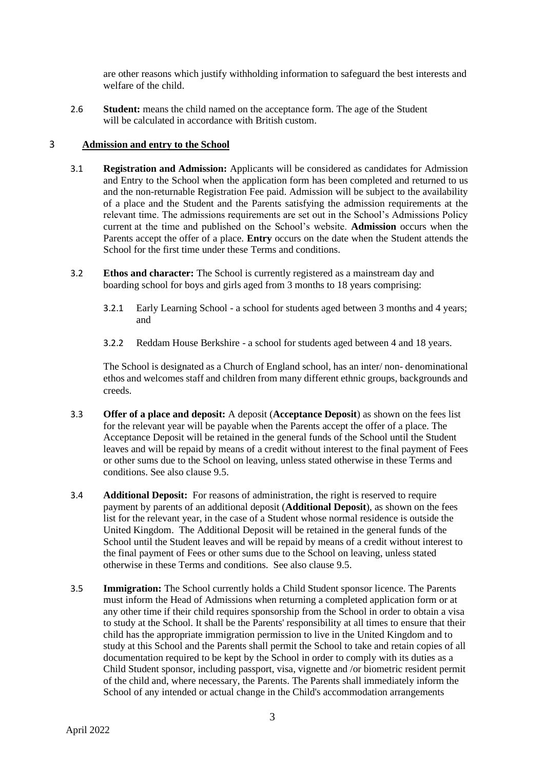are other reasons which justify withholding information to safeguard the best interests and welfare of the child.

2.6 **Student:** means the child named on the acceptance form. The age of the Student will be calculated in accordance with British custom.

### 3 **Admission and entry to the School**

- 3.1 **Registration and Admission:** Applicants will be considered as candidates for Admission and Entry to the School when the application form has been completed and returned to us and the non-returnable Registration Fee paid. Admission will be subject to the availability of a place and the Student and the Parents satisfying the admission requirements at the relevant time. The admissions requirements are set out in the School's Admissions Policy current at the time and published on the School's website. **Admission** occurs when the Parents accept the offer of a place. **Entry** occurs on the date when the Student attends the School for the first time under these Terms and conditions.
- 3.2 **Ethos and character:** The School is currently registered as a mainstream day and boarding school for boys and girls aged from 3 months to 18 years comprising:
	- 3.2.1 Early Learning School a school for students aged between 3 months and 4 years; and
	- 3.2.2 Reddam House Berkshire a school for students aged between 4 and 18 years.

The School is designated as a Church of England school, has an inter/ non- denominational ethos and welcomes staff and children from many different ethnic groups, backgrounds and creeds.

- 3.3 **Offer of a place and deposit:** A deposit (**Acceptance Deposit**) as shown on the fees list for the relevant year will be payable when the Parents accept the offer of a place. The Acceptance Deposit will be retained in the general funds of the School until the Student leaves and will be repaid by means of a credit without interest to the final payment of Fees or other sums due to the School on leaving, unless stated otherwise in these Terms and conditions. See also clause 9.5.
- 3.4 **Additional Deposit:** For reasons of administration, the right is reserved to require payment by parents of an additional deposit (**Additional Deposit**), as shown on the fees list for the relevant year, in the case of a Student whose normal residence is outside the United Kingdom. The Additional Deposit will be retained in the general funds of the School until the Student leaves and will be repaid by means of a credit without interest to the final payment of Fees or other sums due to the School on leaving, unless stated otherwise in these Terms and conditions. See also clause 9.5.
- 3.5 **Immigration:** The School currently holds a Child Student sponsor licence. The Parents must inform the Head of Admissions when returning a completed application form or at any other time if their child requires sponsorship from the School in order to obtain a visa to study at the School. It shall be the Parents' responsibility at all times to ensure that their child has the appropriate immigration permission to live in the United Kingdom and to study at this School and the Parents shall permit the School to take and retain copies of all documentation required to be kept by the School in order to comply with its duties as a Child Student sponsor, including passport, visa, vignette and /or biometric resident permit of the child and, where necessary, the Parents. The Parents shall immediately inform the School of any intended or actual change in the Child's accommodation arrangements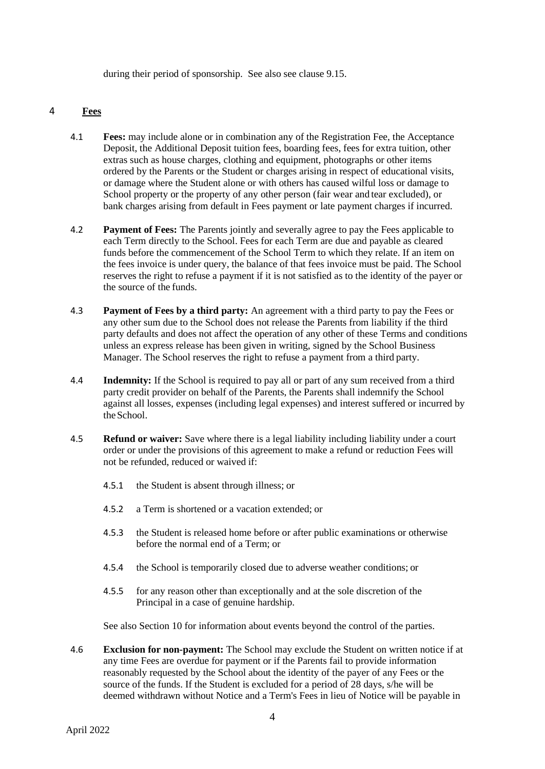during their period of sponsorship. See also see clause 9.15.

## 4 **Fees**

- 4.1 **Fees:** may include alone or in combination any of the Registration Fee, the Acceptance Deposit, the Additional Deposit tuition fees, boarding fees, fees for extra tuition, other extras such as house charges, clothing and equipment, photographs or other items ordered by the Parents or the Student or charges arising in respect of educational visits, or damage where the Student alone or with others has caused wilful loss or damage to School property or the property of any other person (fair wear and tear excluded), or bank charges arising from default in Fees payment or late payment charges if incurred.
- 4.2 **Payment of Fees:** The Parents jointly and severally agree to pay the Fees applicable to each Term directly to the School. Fees for each Term are due and payable as cleared funds before the commencement of the School Term to which they relate. If an item on the fees invoice is under query, the balance of that fees invoice must be paid. The School reserves the right to refuse a payment if it is not satisfied as to the identity of the payer or the source of the funds.
- 4.3 **Payment of Fees by a third party:** An agreement with a third party to pay the Fees or any other sum due to the School does not release the Parents from liability if the third party defaults and does not affect the operation of any other of these Terms and conditions unless an express release has been given in writing, signed by the School Business Manager. The School reserves the right to refuse a payment from a third party.
- 4.4 **Indemnity:** If the School is required to pay all or part of any sum received from a third party credit provider on behalf of the Parents, the Parents shall indemnify the School against all losses, expenses (including legal expenses) and interest suffered or incurred by theSchool.
- 4.5 **Refund or waiver:** Save where there is a legal liability including liability under a court order or under the provisions of this agreement to make a refund or reduction Fees will not be refunded, reduced or waived if:
	- 4.5.1 the Student is absent through illness; or
	- 4.5.2 a Term is shortened or a vacation extended; or
	- 4.5.3 the Student is released home before or after public examinations or otherwise before the normal end of a Term; or
	- 4.5.4 the School is temporarily closed due to adverse weather conditions; or
	- 4.5.5 for any reason other than exceptionally and at the sole discretion of the Principal in a case of genuine hardship.

See also Section 10 for information about events beyond the control of the parties.

<span id="page-3-0"></span>4.6 **Exclusion for non-payment:** The School may exclude the Student on written notice if at any time Fees are overdue for payment or if the Parents fail to provide information reasonably requested by the School about the identity of the payer of any Fees or the source of the funds. If the Student is excluded for a period of 28 days, s/he will be deemed withdrawn without Notice and a Term's Fees in lieu of Notice will be payable in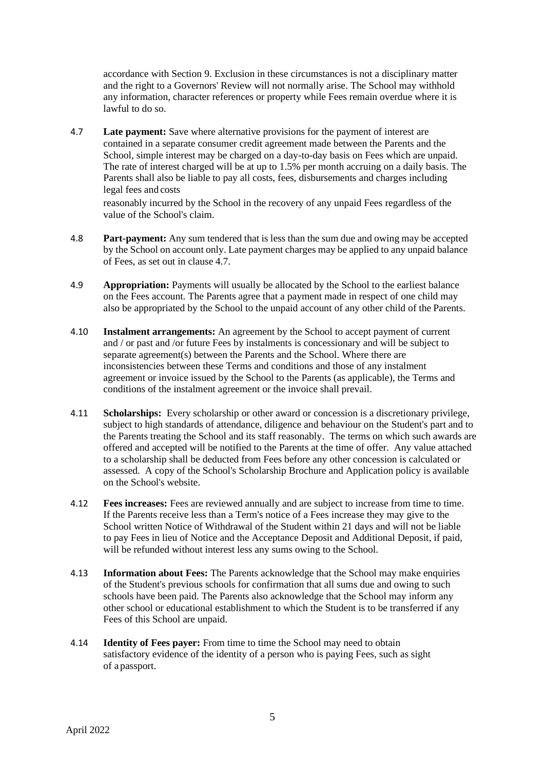accordance with Section 9. Exclusion in these circumstances is not a disciplinary matter and the right to a Governors' Review will not normally arise. The School may withhold any information, character references or property while Fees remain overdue where it is lawful to do so.

4.7 **Late payment:** Save where alternative provisions for the payment of interest are contained in a separate consumer credit agreement made between the Parents and the School, simple interest may be charged on a day-to-day basis on Fees which are unpaid. The rate of interest charged will be at up to 1.5% per month accruing on a daily basis. The Parents shall also be liable to pay all costs, fees, disbursements and charges including legal fees and costs

reasonably incurred by the School in the recovery of any unpaid Fees regardless of the value of the School's claim.

- 4.8 **Part-payment:** Any sum tendered that is less than the sum due and owing may be accepted by the School on account only. Late payment charges may be applied to any unpaid balance of Fees, as set out in clause 4.7.
- 4.9 **Appropriation:** Payments will usually be allocated by the School to the earliest balance on the Fees account. The Parents agree that a payment made in respect of one child may also be appropriated by the School to the unpaid account of any other child of the Parents.
- 4.10 **Instalment arrangements:** An agreement by the School to accept payment of current and / or past and /or future Fees by instalments is concessionary and will be subject to separate agreement(s) between the Parents and the School. Where there are inconsistencies between these Terms and conditions and those of any instalment agreement or invoice issued by the School to the Parents (as applicable), the Terms and conditions of the instalment agreement or the invoice shall prevail.
- 4.11 **Scholarships:** Every scholarship or other award or concession is a discretionary privilege, subject to high standards of attendance, diligence and behaviour on the Student's part and to the Parents treating the School and its staff reasonably. The terms on which such awards are offered and accepted will be notified to the Parents at the time of offer. Any value attached to a scholarship shall be deducted from Fees before any other concession is calculated or assessed. A copy of the School's Scholarship Brochure and Application policy is available on the School's website.
- 4.12 **Fees increases:** Fees are reviewed annually and are subject to increase from time to time. If the Parents receive less than a Term's notice of a Fees increase they may give to the School written Notice of Withdrawal of the Student within 21 days and will not be liable to pay Fees in lieu of Notice and the Acceptance Deposit and Additional Deposit, if paid, will be refunded without interest less any sums owing to the School.
- 4.13 **Information about Fees:** The Parents acknowledge that the School may make enquiries of the Student's previous schools for confirmation that all sums due and owing to such schools have been paid. The Parents also acknowledge that the School may inform any other school or educational establishment to which the Student is to be transferred if any Fees of this School are unpaid.
- 4.14 **Identity of Fees payer:** From time to time the School may need to obtain satisfactory evidence of the identity of a person who is paying Fees, such as sight of a passport.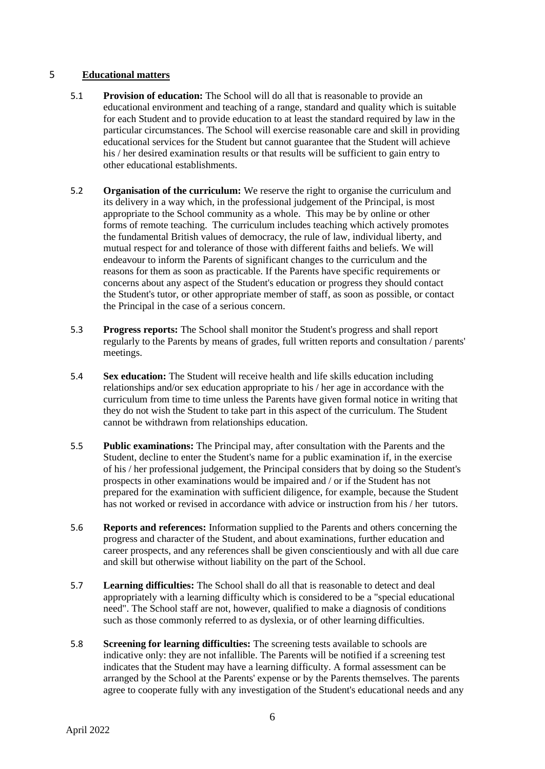## 5 **Educational matters**

- 5.1 **Provision of education:** The School will do all that is reasonable to provide an educational environment and teaching of a range, standard and quality which is suitable for each Student and to provide education to at least the standard required by law in the particular circumstances. The School will exercise reasonable care and skill in providing educational services for the Student but cannot guarantee that the Student will achieve his / her desired examination results or that results will be sufficient to gain entry to other educational establishments.
- 5.2 **Organisation of the curriculum:** We reserve the right to organise the curriculum and its delivery in a way which, in the professional judgement of the Principal, is most appropriate to the School community as a whole. This may be by online or other forms of remote teaching. The curriculum includes teaching which actively promotes the fundamental British values of democracy, the rule of law, individual liberty, and mutual respect for and tolerance of those with different faiths and beliefs. We will endeavour to inform the Parents of significant changes to the curriculum and the reasons for them as soon as practicable. If the Parents have specific requirements or concerns about any aspect of the Student's education or progress they should contact the Student's tutor, or other appropriate member of staff, as soon as possible, or contact the Principal in the case of a serious concern.
- 5.3 **Progress reports:** The School shall monitor the Student's progress and shall report regularly to the Parents by means of grades, full written reports and consultation / parents' meetings.
- 5.4 **Sex education:** The Student will receive health and life skills education including relationships and/or sex education appropriate to his / her age in accordance with the curriculum from time to time unless the Parents have given formal notice in writing that they do not wish the Student to take part in this aspect of the curriculum. The Student cannot be withdrawn from relationships education.
- 5.5 **Public examinations:** The Principal may, after consultation with the Parents and the Student, decline to enter the Student's name for a public examination if, in the exercise of his / her professional judgement, the Principal considers that by doing so the Student's prospects in other examinations would be impaired and / or if the Student has not prepared for the examination with sufficient diligence, for example, because the Student has not worked or revised in accordance with advice or instruction from his / her tutors.
- 5.6 **Reports and references:** Information supplied to the Parents and others concerning the progress and character of the Student, and about examinations, further education and career prospects, and any references shall be given conscientiously and with all due care and skill but otherwise without liability on the part of the School.
- 5.7 **Learning difficulties:** The School shall do all that is reasonable to detect and deal appropriately with a learning difficulty which is considered to be a "special educational need". The School staff are not, however, qualified to make a diagnosis of conditions such as those commonly referred to as dyslexia, or of other learning difficulties.
- 5.8 **Screening for learning difficulties:** The screening tests available to schools are indicative only: they are not infallible. The Parents will be notified if a screening test indicates that the Student may have a learning difficulty. A formal assessment can be arranged by the School at the Parents' expense or by the Parents themselves. The parents agree to cooperate fully with any investigation of the Student's educational needs and any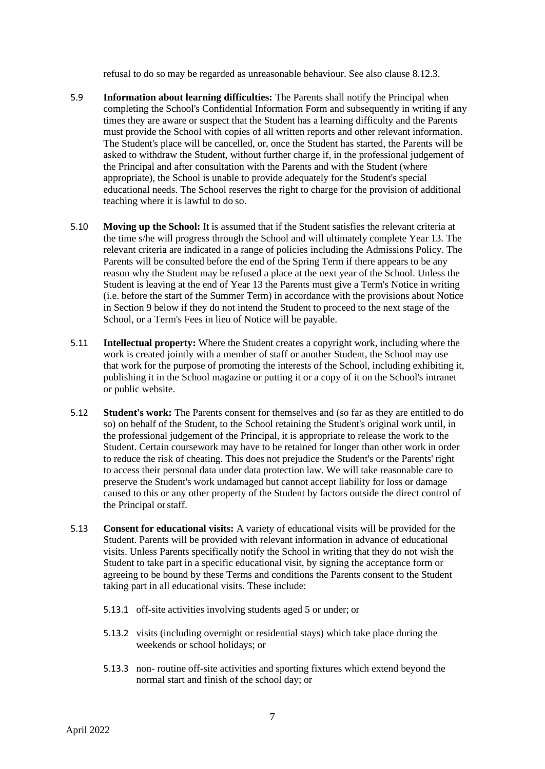refusal to do so may be regarded as unreasonable behaviour. See also clause [8.12.3.](#page-13-0)

- 5.9 **Information about learning difficulties:** The Parents shall notify the Principal when completing the School's Confidential Information Form and subsequently in writing if any times they are aware or suspect that the Student has a learning difficulty and the Parents must provide the School with copies of all written reports and other relevant information. The Student's place will be cancelled, or, once the Student has started, the Parents will be asked to withdraw the Student, without further charge if, in the professional judgement of the Principal and after consultation with the Parents and with the Student (where appropriate), the School is unable to provide adequately for the Student's special educational needs. The School reserves the right to charge for the provision of additional teaching where it is lawful to do so.
- 5.10 **Moving up the School:** It is assumed that if the Student satisfies the relevant criteria at the time s/he will progress through the School and will ultimately complete Year 13. The relevant criteria are indicated in a range of policies including the Admissions Policy. The Parents will be consulted before the end of the Spring Term if there appears to be any reason why the Student may be refused a place at the next year of the School. Unless the Student is leaving at the end of Year 13 the Parents must give a Term's Notice in writing (i.e. before the start of the Summer Term) in accordance with the provisions about Notice in Section 9 below if they do not intend the Student to proceed to the next stage of the School, or a Term's Fees in lieu of Notice will be payable.
- 5.11 **Intellectual property:** Where the Student creates a copyright work, including where the work is created jointly with a member of staff or another Student, the School may use that work for the purpose of promoting the interests of the School, including exhibiting it, publishing it in the School magazine or putting it or a copy of it on the School's intranet or public website.
- 5.12 **Student's work:** The Parents consent for themselves and (so far as they are entitled to do so) on behalf of the Student, to the School retaining the Student's original work until, in the professional judgement of the Principal, it is appropriate to release the work to the Student. Certain coursework may have to be retained for longer than other work in order to reduce the risk of cheating. This does not prejudice the Student's or the Parents' right to access their personal data under data protection law. We will take reasonable care to preserve the Student's work undamaged but cannot accept liability for loss or damage caused to this or any other property of the Student by factors outside the direct control of the Principal orstaff.
- 5.13 **Consent for educational visits:** A variety of educational visits will be provided for the Student. Parents will be provided with relevant information in advance of educational visits. Unless Parents specifically notify the School in writing that they do not wish the Student to take part in a specific educational visit, by signing the acceptance form or agreeing to be bound by these Terms and conditions the Parents consent to the Student taking part in all educational visits. These include:
	- 5.13.1 off-site activities involving students aged 5 or under; or
	- 5.13.2 visits (including overnight or residential stays) which take place during the weekends or school holidays; or
	- 5.13.3 non- routine off-site activities and sporting fixtures which extend beyond the normal start and finish of the school day; or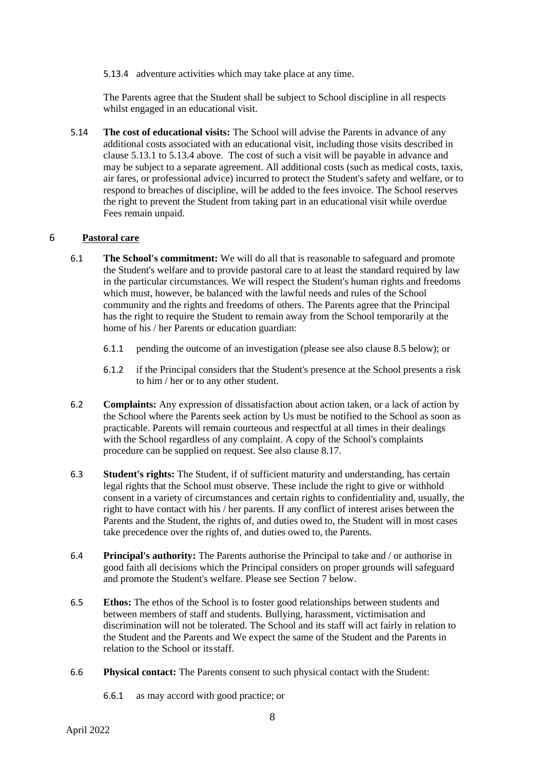5.13.4 adventure activities which may take place at any time.

The Parents agree that the Student shall be subject to School discipline in all respects whilst engaged in an educational visit.

5.14 **The cost of educational visits:** The School will advise the Parents in advance of any additional costs associated with an educational visit, including those visits described in clause 5.13.1 to 5.13.4 above. The cost of such a visit will be payable in advance and may be subject to a separate agreement. All additional costs (such as medical costs, taxis, air fares, or professional advice) incurred to protect the Student's safety and welfare, or to respond to breaches of discipline, will be added to the fees invoice. The School reserves the right to prevent the Student from taking part in an educational visit while overdue Fees remain unpaid.

# 6 **Pastoral care**

- 6.1 **The School's commitment:** We will do all that is reasonable to safeguard and promote the Student's welfare and to provide pastoral care to at least the standard required by law in the particular circumstances. We will respect the Student's human rights and freedoms which must, however, be balanced with the lawful needs and rules of the School community and the rights and freedoms of others. The Parents agree that the Principal has the right to require the Student to remain away from the School temporarily at the home of his / her Parents or education guardian:
	- 6.1.1 pending the outcome of an investigation (please see also clause 8.5 below); or
	- 6.1.2 if the Principal considers that the Student's presence at the School presents a risk to him / her or to any other student.
- 6.2 **Complaints:** Any expression of dissatisfaction about action taken, or a lack of action by the School where the Parents seek action by Us must be notified to the School as soon as practicable. Parents will remain courteous and respectful at all times in their dealings with the School regardless of any complaint. A copy of the School's complaints procedure can be supplied on request. See also clause 8.17.
- 6.3 **Student's rights:** The Student, if of sufficient maturity and understanding, has certain legal rights that the School must observe. These include the right to give or withhold consent in a variety of circumstances and certain rights to confidentiality and, usually, the right to have contact with his / her parents. If any conflict of interest arises between the Parents and the Student, the rights of, and duties owed to, the Student will in most cases take precedence over the rights of, and duties owed to, the Parents.
- 6.4 **Principal's authority:** The Parents authorise the Principal to take and / or authorise in good faith all decisions which the Principal considers on proper grounds will safeguard and promote the Student's welfare. Please see Section 7 below.
- 6.5 **Ethos:** The ethos of the School is to foster good relationships between students and between members of staff and students. Bullying, harassment, victimisation and discrimination will not be tolerated. The School and its staff will act fairly in relation to the Student and the Parents and We expect the same of the Student and the Parents in relation to the School or itsstaff.
- 6.6 **Physical contact:** The Parents consent to such physical contact with the Student:
	- 6.6.1 as may accord with good practice; or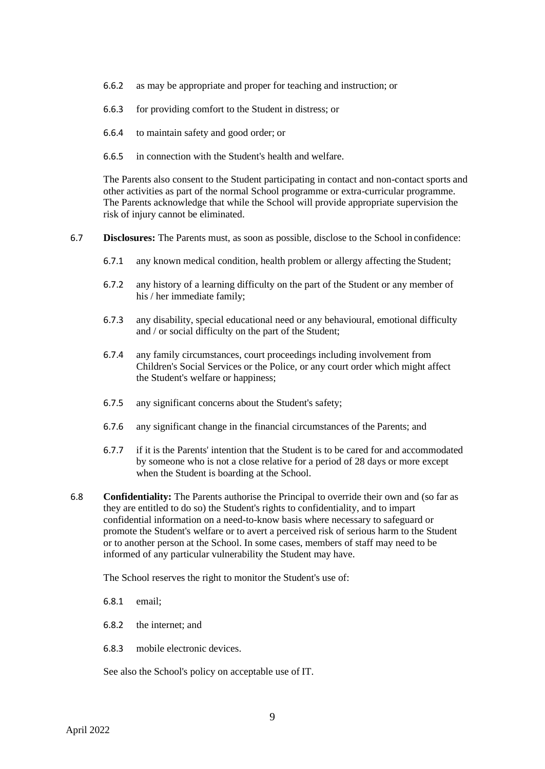- 6.6.2 as may be appropriate and proper for teaching and instruction; or
- 6.6.3 for providing comfort to the Student in distress; or
- 6.6.4 to maintain safety and good order; or
- 6.6.5 in connection with the Student's health and welfare.

The Parents also consent to the Student participating in contact and non-contact sports and other activities as part of the normal School programme or extra-curricular programme. The Parents acknowledge that while the School will provide appropriate supervision the risk of injury cannot be eliminated.

- 6.7 **Disclosures:** The Parents must, as soon as possible, disclose to the School in confidence:
	- 6.7.1 any known medical condition, health problem or allergy affecting the Student;
	- 6.7.2 any history of a learning difficulty on the part of the Student or any member of his / her immediate family;
	- 6.7.3 any disability, special educational need or any behavioural, emotional difficulty and / or social difficulty on the part of the Student;
	- 6.7.4 any family circumstances, court proceedings including involvement from Children's Social Services or the Police, or any court order which might affect the Student's welfare or happiness;
	- 6.7.5 any significant concerns about the Student's safety;
	- 6.7.6 any significant change in the financial circumstances of the Parents; and
	- 6.7.7 if it is the Parents' intention that the Student is to be cared for and accommodated by someone who is not a close relative for a period of 28 days or more except when the Student is boarding at the School.
- 6.8 **Confidentiality:** The Parents authorise the Principal to override their own and (so far as they are entitled to do so) the Student's rights to confidentiality, and to impart confidential information on a need-to-know basis where necessary to safeguard or promote the Student's welfare or to avert a perceived risk of serious harm to the Student or to another person at the School. In some cases, members of staff may need to be informed of any particular vulnerability the Student may have.

The School reserves the right to monitor the Student's use of:

6.8.1 email;

- 6.8.2 the internet; and
- 6.8.3 mobile electronic devices.

See also the School's policy on acceptable use of IT.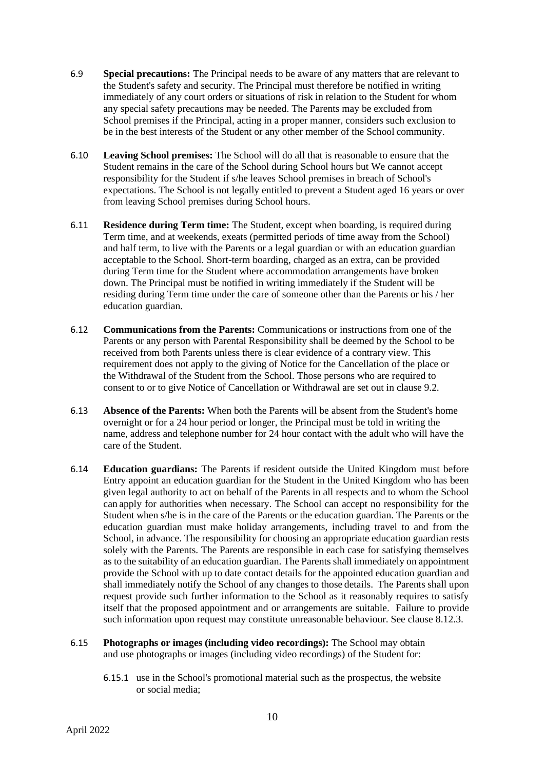- 6.9 **Special precautions:** The Principal needs to be aware of any matters that are relevant to the Student's safety and security. The Principal must therefore be notified in writing immediately of any court orders or situations of risk in relation to the Student for whom any special safety precautions may be needed. The Parents may be excluded from School premises if the Principal, acting in a proper manner, considers such exclusion to be in the best interests of the Student or any other member of the School community.
- 6.10 **Leaving School premises:** The School will do all that is reasonable to ensure that the Student remains in the care of the School during School hours but We cannot accept responsibility for the Student if s/he leaves School premises in breach of School's expectations. The School is not legally entitled to prevent a Student aged 16 years or over from leaving School premises during School hours.
- 6.11 **Residence during Term time:** The Student, except when boarding, is required during Term time, and at weekends, exeats (permitted periods of time away from the School) and half term, to live with the Parents or a legal guardian or with an education guardian acceptable to the School. Short-term boarding, charged as an extra, can be provided during Term time for the Student where accommodation arrangements have broken down. The Principal must be notified in writing immediately if the Student will be residing during Term time under the care of someone other than the Parents or his / her education guardian.
- 6.12 **Communications from the Parents:** Communications or instructions from one of the Parents or any person with Parental Responsibility shall be deemed by the School to be received from both Parents unless there is clear evidence of a contrary view. This requirement does not apply to the giving of Notice for the Cancellation of the place or the Withdrawal of the Student from the School. Those persons who are required to consent to or to give Notice of Cancellation or Withdrawal are set out in clause 9.2.
- 6.13 **Absence of the Parents:** When both the Parents will be absent from the Student's home overnight or for a 24 hour period or longer, the Principal must be told in writing the name, address and telephone number for 24 hour contact with the adult who will have the care of the Student.
- 6.14 **Education guardians:** The Parents if resident outside the United Kingdom must before Entry appoint an education guardian for the Student in the United Kingdom who has been given legal authority to act on behalf of the Parents in all respects and to whom the School can apply for authorities when necessary. The School can accept no responsibility for the Student when s/he is in the care of the Parents or the education guardian. The Parents or the education guardian must make holiday arrangements, including travel to and from the School, in advance. The responsibility for choosing an appropriate education guardian rests solely with the Parents. The Parents are responsible in each case for satisfying themselves as to the suitability of an education guardian. The Parents shall immediately on appointment provide the School with up to date contact details for the appointed education guardian and shall immediately notify the School of any changes to those details. The Parents shall upon request provide such further information to the School as it reasonably requires to satisfy itself that the proposed appointment and or arrangements are suitable. Failure to provide such information upon request may constitute unreasonable behaviour. See clause [8.12.3.](#page-13-0)
- 6.15 **Photographs or images (including video recordings):** The School may obtain and use photographs or images (including video recordings) of the Student for:
	- 6.15.1 use in the School's promotional material such as the prospectus, the website or social media;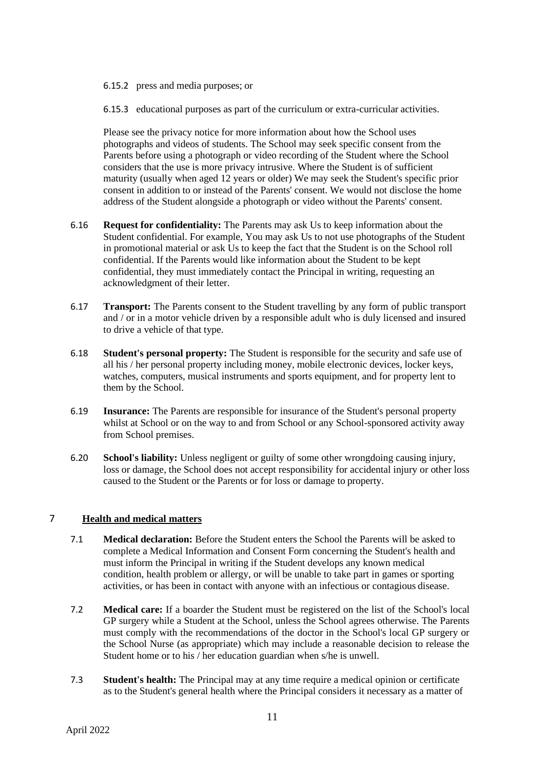- 6.15.2 press and media purposes; or
- 6.15.3 educational purposes as part of the curriculum or extra-curricular activities.

Please see the privacy notice for more information about how the School uses photographs and videos of students. The School may seek specific consent from the Parents before using a photograph or video recording of the Student where the School considers that the use is more privacy intrusive. Where the Student is of sufficient maturity (usually when aged 12 years or older) We may seek the Student's specific prior consent in addition to or instead of the Parents' consent. We would not disclose the home address of the Student alongside a photograph or video without the Parents' consent.

- 6.16 **Request for confidentiality:** The Parents may ask Us to keep information about the Student confidential. For example, You may ask Us to not use photographs of the Student in promotional material or ask Us to keep the fact that the Student is on the School roll confidential. If the Parents would like information about the Student to be kept confidential, they must immediately contact the Principal in writing, requesting an acknowledgment of their letter.
- 6.17 **Transport:** The Parents consent to the Student travelling by any form of public transport and / or in a motor vehicle driven by a responsible adult who is duly licensed and insured to drive a vehicle of that type.
- 6.18 **Student's personal property:** The Student is responsible for the security and safe use of all his / her personal property including money, mobile electronic devices, locker keys, watches, computers, musical instruments and sports equipment, and for property lent to them by the School.
- 6.19 **Insurance:** The Parents are responsible for insurance of the Student's personal property whilst at School or on the way to and from School or any School-sponsored activity away from School premises.
- 6.20 **School's liability:** Unless negligent or guilty of some other wrongdoing causing injury, loss or damage, the School does not accept responsibility for accidental injury or other loss caused to the Student or the Parents or for loss or damage to property.

# 7 **Health and medical matters**

- 7.1 **Medical declaration:** Before the Student enters the School the Parents will be asked to complete a Medical Information and Consent Form concerning the Student's health and must inform the Principal in writing if the Student develops any known medical condition, health problem or allergy, or will be unable to take part in games or sporting activities, or has been in contact with anyone with an infectious or contagious disease.
- 7.2 **Medical care:** If a boarder the Student must be registered on the list of the School's local GP surgery while a Student at the School, unless the School agrees otherwise. The Parents must comply with the recommendations of the doctor in the School's local GP surgery or the School Nurse (as appropriate) which may include a reasonable decision to release the Student home or to his / her education guardian when s/he is unwell.
- 7.3 **Student's health:** The Principal may at any time require a medical opinion or certificate as to the Student's general health where the Principal considers it necessary as a matter of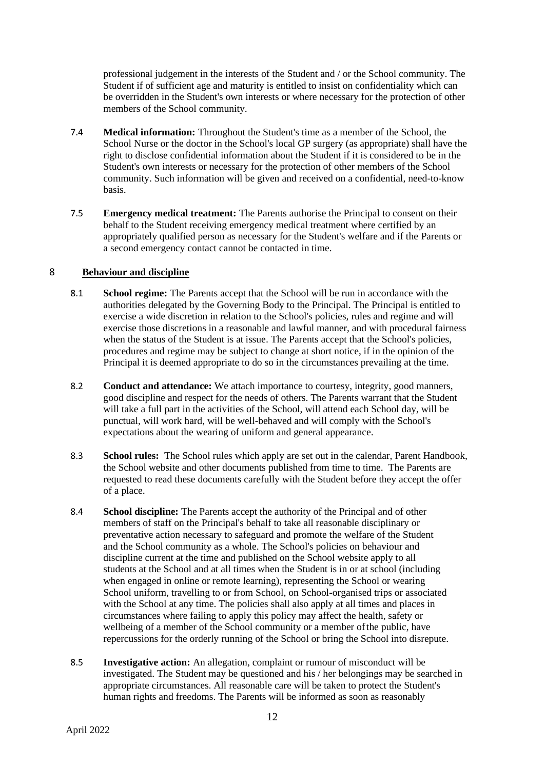professional judgement in the interests of the Student and / or the School community. The Student if of sufficient age and maturity is entitled to insist on confidentiality which can be overridden in the Student's own interests or where necessary for the protection of other members of the School community.

- 7.4 **Medical information:** Throughout the Student's time as a member of the School, the School Nurse or the doctor in the School's local GP surgery (as appropriate) shall have the right to disclose confidential information about the Student if it is considered to be in the Student's own interests or necessary for the protection of other members of the School community. Such information will be given and received on a confidential, need-to-know basis.
- 7.5 **Emergency medical treatment:** The Parents authorise the Principal to consent on their behalf to the Student receiving emergency medical treatment where certified by an appropriately qualified person as necessary for the Student's welfare and if the Parents or a second emergency contact cannot be contacted in time.

## 8 **Behaviour and discipline**

- 8.1 **School regime:** The Parents accept that the School will be run in accordance with the authorities delegated by the Governing Body to the Principal. The Principal is entitled to exercise a wide discretion in relation to the School's policies, rules and regime and will exercise those discretions in a reasonable and lawful manner, and with procedural fairness when the status of the Student is at issue. The Parents accept that the School's policies, procedures and regime may be subject to change at short notice, if in the opinion of the Principal it is deemed appropriate to do so in the circumstances prevailing at the time.
- 8.2 **Conduct and attendance:** We attach importance to courtesy, integrity, good manners, good discipline and respect for the needs of others. The Parents warrant that the Student will take a full part in the activities of the School, will attend each School day, will be punctual, will work hard, will be well-behaved and will comply with the School's expectations about the wearing of uniform and general appearance.
- 8.3 **School rules:** The School rules which apply are set out in the calendar, Parent Handbook, the School website and other documents published from time to time. The Parents are requested to read these documents carefully with the Student before they accept the offer of a place.
- 8.4 **School discipline:** The Parents accept the authority of the Principal and of other members of staff on the Principal's behalf to take all reasonable disciplinary or preventative action necessary to safeguard and promote the welfare of the Student and the School community as a whole. The School's policies on behaviour and discipline current at the time and published on the School website apply to all students at the School and at all times when the Student is in or at school (including when engaged in online or remote learning), representing the School or wearing School uniform, travelling to or from School, on School-organised trips or associated with the School at any time. The policies shall also apply at all times and places in circumstances where failing to apply this policy may affect the health, safety or wellbeing of a member of the School community or a member ofthe public, have repercussions for the orderly running of the School or bring the School into disrepute.
- 8.5 **Investigative action:** An allegation, complaint or rumour of misconduct will be investigated. The Student may be questioned and his / her belongings may be searched in appropriate circumstances. All reasonable care will be taken to protect the Student's human rights and freedoms. The Parents will be informed as soon as reasonably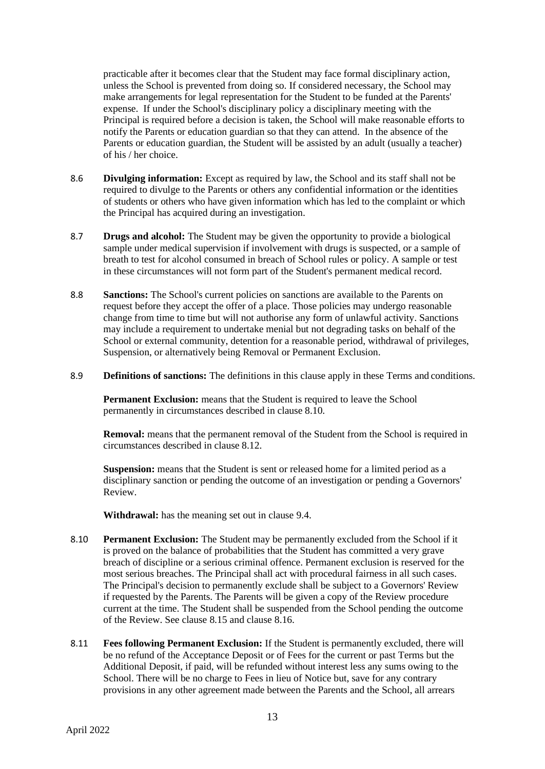practicable after it becomes clear that the Student may face formal disciplinary action, unless the School is prevented from doing so. If considered necessary, the School may make arrangements for legal representation for the Student to be funded at the Parents' expense. If under the School's disciplinary policy a disciplinary meeting with the Principal is required before a decision is taken, the School will make reasonable efforts to notify the Parents or education guardian so that they can attend. In the absence of the Parents or education guardian, the Student will be assisted by an adult (usually a teacher) of his / her choice.

- 8.6 **Divulging information:** Except as required by law, the School and its staff shall not be required to divulge to the Parents or others any confidential information or the identities of students or others who have given information which has led to the complaint or which the Principal has acquired during an investigation.
- 8.7 **Drugs and alcohol:** The Student may be given the opportunity to provide a biological sample under medical supervision if involvement with drugs is suspected, or a sample of breath to test for alcohol consumed in breach of School rules or policy. A sample or test in these circumstances will not form part of the Student's permanent medical record.
- 8.8 **Sanctions:** The School's current policies on sanctions are available to the Parents on request before they accept the offer of a place. Those policies may undergo reasonable change from time to time but will not authorise any form of unlawful activity. Sanctions may include a requirement to undertake menial but not degrading tasks on behalf of the School or external community, detention for a reasonable period, withdrawal of privileges, Suspension, or alternatively being Removal or Permanent Exclusion.
- 8.9 **Definitions of sanctions:** The definitions in this clause apply in these Terms and conditions.

**Permanent Exclusion:** means that the Student is required to leave the School permanently in circumstances described in clause 8.10.

**Removal:** means that the permanent removal of the Student from the School is required in circumstances described in clause 8.12.

**Suspension:** means that the Student is sent or released home for a limited period as a disciplinary sanction or pending the outcome of an investigation or pending a Governors' Review.

**Withdrawal:** has the meaning set out in clause 9.4.

- 8.10 **Permanent Exclusion:** The Student may be permanently excluded from the School if it is proved on the balance of probabilities that the Student has committed a very grave breach of discipline or a serious criminal offence. Permanent exclusion is reserved for the most serious breaches. The Principal shall act with procedural fairness in all such cases. The Principal's decision to permanently exclude shall be subject to a Governors' Review if requested by the Parents. The Parents will be given a copy of the Review procedure current at the time. The Student shall be suspended from the School pending the outcome of the Review. See clause 8.15 and clause 8.16.
- 8.11 **Fees following Permanent Exclusion:** If the Student is permanently excluded, there will be no refund of the Acceptance Deposit or of Fees for the current or past Terms but the Additional Deposit, if paid, will be refunded without interest less any sums owing to the School. There will be no charge to Fees in lieu of Notice but, save for any contrary provisions in any other agreement made between the Parents and the School, all arrears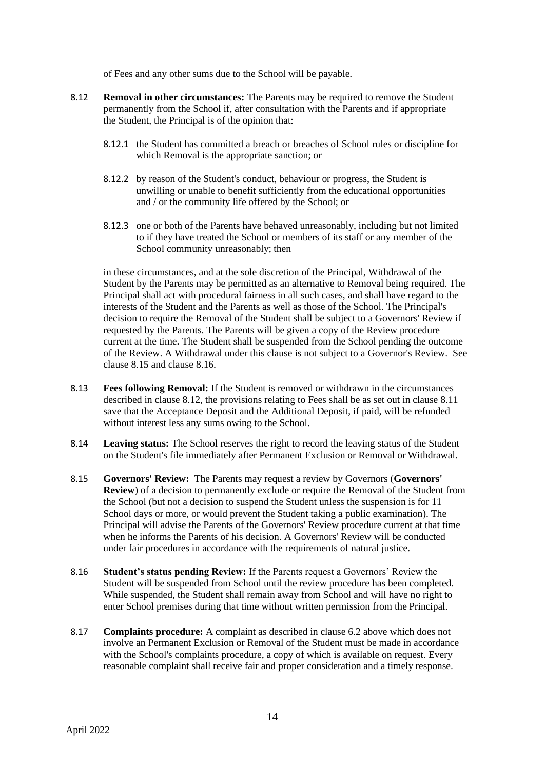of Fees and any other sums due to the School will be payable.

- 8.12 **Removal in other circumstances:** The Parents may be required to remove the Student permanently from the School if, after consultation with the Parents and if appropriate the Student, the Principal is of the opinion that:
	- 8.12.1 the Student has committed a breach or breaches of School rules or discipline for which Removal is the appropriate sanction; or
	- 8.12.2 by reason of the Student's conduct, behaviour or progress, the Student is unwilling or unable to benefit sufficiently from the educational opportunities and / or the community life offered by the School; or
	- 8.12.3 one or both of the Parents have behaved unreasonably, including but not limited to if they have treated the School or members of its staff or any member of the School community unreasonably; then

<span id="page-13-0"></span>in these circumstances, and at the sole discretion of the Principal, Withdrawal of the Student by the Parents may be permitted as an alternative to Removal being required. The Principal shall act with procedural fairness in all such cases, and shall have regard to the interests of the Student and the Parents as well as those of the School. The Principal's decision to require the Removal of the Student shall be subject to a Governors' Review if requested by the Parents. The Parents will be given a copy of the Review procedure current at the time. The Student shall be suspended from the School pending the outcome of the Review. A Withdrawal under this clause is not subject to a Governor's Review. See clause 8.15 and clause 8.16.

- 8.13 **Fees following Removal:** If the Student is removed or withdrawn in the circumstances described in clause 8.12, the provisions relating to Fees shall be as set out in clause 8.11 save that the Acceptance Deposit and the Additional Deposit, if paid, will be refunded without interest less any sums owing to the School.
- 8.14 **Leaving status:** The School reserves the right to record the leaving status of the Student on the Student's file immediately after Permanent Exclusion or Removal or Withdrawal.
- 8.15 **Governors' Review:** The Parents may request a review by Governors (**Governors' Review**) of a decision to permanently exclude or require the Removal of the Student from the School (but not a decision to suspend the Student unless the suspension is for 11 School days or more, or would prevent the Student taking a public examination). The Principal will advise the Parents of the Governors' Review procedure current at that time when he informs the Parents of his decision. A Governors' Review will be conducted under fair procedures in accordance with the requirements of natural justice.
- 8.16 **Student's status pending Review:** If the Parents request a Governors' Review the Student will be suspended from School until the review procedure has been completed. While suspended, the Student shall remain away from School and will have no right to enter School premises during that time without written permission from the Principal.
- 8.17 **Complaints procedure:** A complaint as described in clause 6.2 above which does not involve an Permanent Exclusion or Removal of the Student must be made in accordance with the School's complaints procedure, a copy of which is available on request. Every reasonable complaint shall receive fair and proper consideration and a timely response.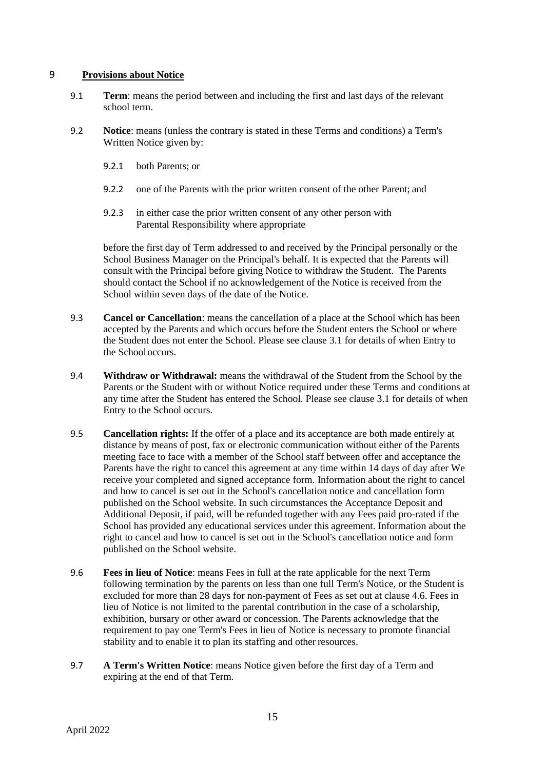### 9 **Provisions about Notice**

- 9.1 **Term**: means the period between and including the first and last days of the relevant school term.
- 9.2 **Notice**: means (unless the contrary is stated in these Terms and conditions) a Term's Written Notice given by:
	- 9.2.1 both Parents; or
	- 9.2.2 one of the Parents with the prior written consent of the other Parent; and
	- 9.2.3 in either case the prior written consent of any other person with Parental Responsibility where appropriate

before the first day of Term addressed to and received by the Principal personally or the School Business Manager on the Principal's behalf. It is expected that the Parents will consult with the Principal before giving Notice to withdraw the Student. The Parents should contact the School if no acknowledgement of the Notice is received from the School within seven days of the date of the Notice.

- 9.3 **Cancel or Cancellation**: means the cancellation of a place at the School which has been accepted by the Parents and which occurs before the Student enters the School or where the Student does not enter the School. Please see clause 3.1 for details of when Entry to the Schooloccurs.
- 9.4 **Withdraw or Withdrawal:** means the withdrawal of the Student from the School by the Parents or the Student with or without Notice required under these Terms and conditions at any time after the Student has entered the School. Please see clause 3.1 for details of when Entry to the School occurs.
- <span id="page-14-0"></span>9.5 **Cancellation rights:** If the offer of a place and its acceptance are both made entirely at distance by means of post, fax or electronic communication without either of the Parents meeting face to face with a member of the School staff between offer and acceptance the Parents have the right to cancel this agreement at any time within 14 days of day after We receive your completed and signed acceptance form. Information about the right to cancel and how to cancel is set out in the School's cancellation notice and cancellation form published on the School website. In such circumstances the Acceptance Deposit and Additional Deposit, if paid, will be refunded together with any Fees paid pro-rated if the School has provided any educational services under this agreement. Information about the right to cancel and how to cancel is set out in the School's cancellation notice and form published on the School website.
- 9.6 **Fees in lieu of Notice**: means Fees in full at the rate applicable for the next Term following termination by the parents on less than one full Term's Notice, or the Student is excluded for more than 28 days for non-payment of Fees as set out at clause [4.6.](#page-3-0) Fees in lieu of Notice is not limited to the parental contribution in the case of a scholarship, exhibition, bursary or other award or concession. The Parents acknowledge that the requirement to pay one Term's Fees in lieu of Notice is necessary to promote financial stability and to enable it to plan its staffing and other resources.
- 9.7 **A Term's Written Notice**: means Notice given before the first day of a Term and expiring at the end of that Term.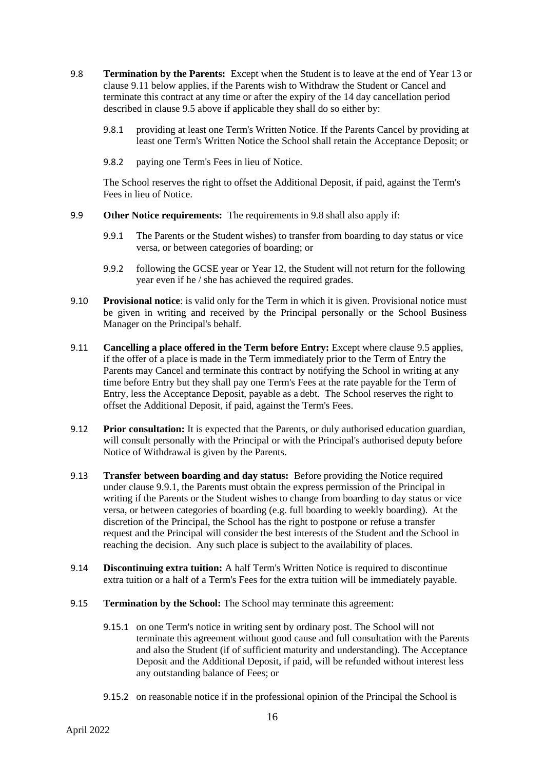- 9.8 **Termination by the Parents:** Except when the Student is to leave at the end of Year 13 or clause [9.11](#page-15-0) below applies, if the Parents wish to Withdraw the Student or Cancel and terminate this contract at any time or after the expiry of the 14 day cancellation period described in clause [9.5](#page-14-0) above if applicable they shall do so either by:
	- 9.8.1 providing at least one Term's Written Notice. If the Parents Cancel by providing at least one Term's Written Notice the School shall retain the Acceptance Deposit; or
	- 9.8.2 paying one Term's Fees in lieu of Notice.

The School reserves the right to offset the Additional Deposit, if paid, against the Term's Fees in lieu of Notice.

- 9.9 **Other Notice requirements:** The requirements in 9.8 shall also apply if:
	- 9.9.1 The Parents or the Student wishes) to transfer from boarding to day status or vice versa, or between categories of boarding; or
	- 9.9.2 following the GCSE year or Year 12, the Student will not return for the following year even if he / she has achieved the required grades.
- 9.10 **Provisional notice**: is valid only for the Term in which it is given. Provisional notice must be given in writing and received by the Principal personally or the School Business Manager on the Principal's behalf.
- <span id="page-15-0"></span>9.11 **Cancelling a place offered in the Term before Entry:** Except where claus[e 9.5](#page-14-0) applies, if the offer of a place is made in the Term immediately prior to the Term of Entry the Parents may Cancel and terminate this contract by notifying the School in writing at any time before Entry but they shall pay one Term's Fees at the rate payable for the Term of Entry, less the Acceptance Deposit, payable as a debt. The School reserves the right to offset the Additional Deposit, if paid, against the Term's Fees.
- 9.12 **Prior consultation:** It is expected that the Parents, or duly authorised education guardian, will consult personally with the Principal or with the Principal's authorised deputy before Notice of Withdrawal is given by the Parents.
- 9.13 **Transfer between boarding and day status:** Before providing the Notice required under clause 9.9.1, the Parents must obtain the express permission of the Principal in writing if the Parents or the Student wishes to change from boarding to day status or vice versa, or between categories of boarding (e.g. full boarding to weekly boarding). At the discretion of the Principal, the School has the right to postpone or refuse a transfer request and the Principal will consider the best interests of the Student and the School in reaching the decision. Any such place is subject to the availability of places.
- 9.14 **Discontinuing extra tuition:** A half Term's Written Notice is required to discontinue extra tuition or a half of a Term's Fees for the extra tuition will be immediately payable.
- 9.15 **Termination by the School:** The School may terminate this agreement:
	- 9.15.1 on one Term's notice in writing sent by ordinary post. The School will not terminate this agreement without good cause and full consultation with the Parents and also the Student (if of sufficient maturity and understanding). The Acceptance Deposit and the Additional Deposit, if paid, will be refunded without interest less any outstanding balance of Fees; or
	- 9.15.2 on reasonable notice if in the professional opinion of the Principal the School is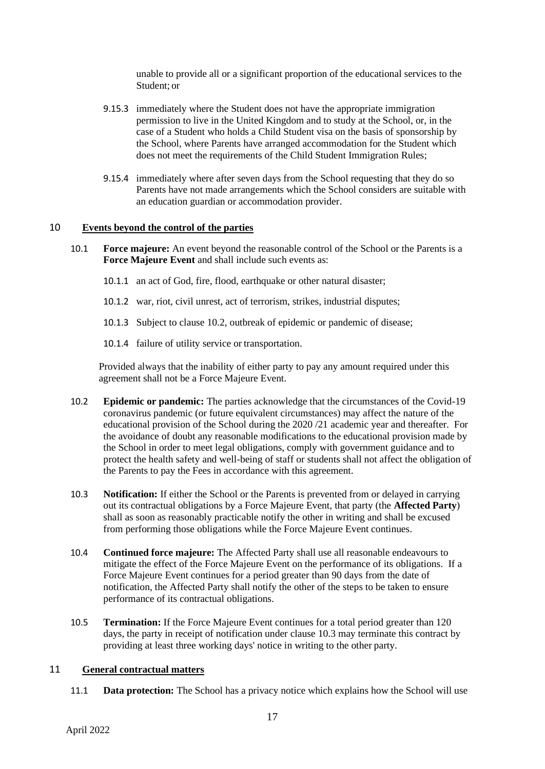unable to provide all or a significant proportion of the educational services to the Student; or

- 9.15.3 immediately where the Student does not have the appropriate immigration permission to live in the United Kingdom and to study at the School, or, in the case of a Student who holds a Child Student visa on the basis of sponsorship by the School, where Parents have arranged accommodation for the Student which does not meet the requirements of the Child Student Immigration Rules;
- 9.15.4 immediately where after seven days from the School requesting that they do so Parents have not made arrangements which the School considers are suitable with an education guardian or accommodation provider.

#### 10 **Events beyond the control of the parties**

- 10.1 **Force majeure:** An event beyond the reasonable control of the School or the Parents is a **Force Majeure Event** and shall include such events as:
	- 10.1.1 an act of God, fire, flood, earthquake or other natural disaster;
	- 10.1.2 war, riot, civil unrest, act of terrorism, strikes, industrial disputes;
	- 10.1.3 Subject to clause 10.2, outbreak of epidemic or pandemic of disease;
	- 10.1.4 failure of utility service or transportation.

Provided always that the inability of either party to pay any amount required under this agreement shall not be a Force Majeure Event.

- 10.2 **Epidemic or pandemic:** The parties acknowledge that the circumstances of the Covid-19 coronavirus pandemic (or future equivalent circumstances) may affect the nature of the educational provision of the School during the 2020 /21 academic year and thereafter. For the avoidance of doubt any reasonable modifications to the educational provision made by the School in order to meet legal obligations, comply with government guidance and to protect the health safety and well-being of staff or students shall not affect the obligation of the Parents to pay the Fees in accordance with this agreement.
- <span id="page-16-0"></span>10.3 **Notification:** If either the School or the Parents is prevented from or delayed in carrying out its contractual obligations by a Force Majeure Event, that party (the **Affected Party**) shall as soon as reasonably practicable notify the other in writing and shall be excused from performing those obligations while the Force Majeure Event continues.
- 10.4 **Continued force majeure:** The Affected Party shall use all reasonable endeavours to mitigate the effect of the Force Majeure Event on the performance of its obligations. If a Force Majeure Event continues for a period greater than 90 days from the date of notification, the Affected Party shall notify the other of the steps to be taken to ensure performance of its contractual obligations.
- 10.5 **Termination:** If the Force Majeure Event continues for a total period greater than 120 days, the party in receipt of notification under clause [10.3](#page-16-0) may terminate this contract by providing at least three working days' notice in writing to the other party.

### 11 **General contractual matters**

11.1 **Data protection:** The School has a privacy notice which explains how the School will use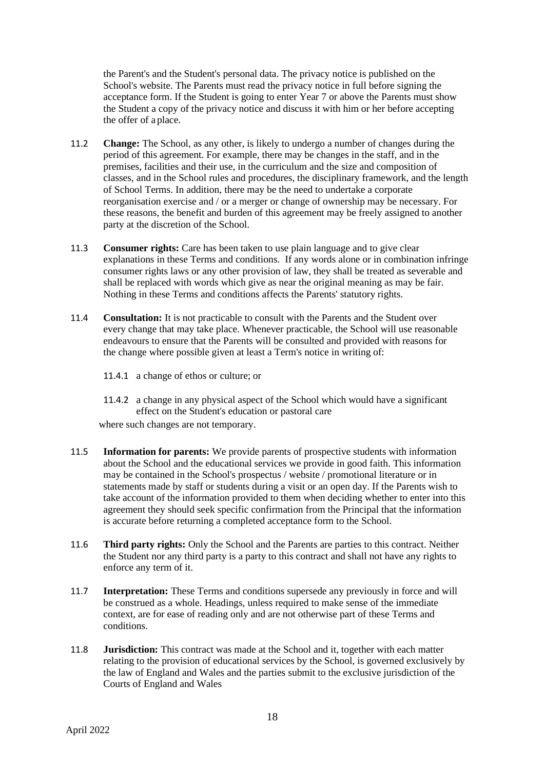the Parent's and the Student's personal data. The privacy notice is published on the School's website. The Parents must read the privacy notice in full before signing the acceptance form. If the Student is going to enter Year 7 or above the Parents must show the Student a copy of the privacy notice and discuss it with him or her before accepting the offer of a place.

- 11.2 **Change:** The School, as any other, is likely to undergo a number of changes during the period of this agreement. For example, there may be changes in the staff, and in the premises, facilities and their use, in the curriculum and the size and composition of classes, and in the School rules and procedures, the disciplinary framework, and the length of School Terms. In addition, there may be the need to undertake a corporate reorganisation exercise and / or a merger or change of ownership may be necessary. For these reasons, the benefit and burden of this agreement may be freely assigned to another party at the discretion of the School.
- 11.3 **Consumer rights:** Care has been taken to use plain language and to give clear explanations in these Terms and conditions. If any words alone or in combination infringe consumer rights laws or any other provision of law, they shall be treated as severable and shall be replaced with words which give as near the original meaning as may be fair. Nothing in these Terms and conditions affects the Parents' statutory rights.
- 11.4 **Consultation:** It is not practicable to consult with the Parents and the Student over every change that may take place. Whenever practicable, the School will use reasonable endeavours to ensure that the Parents will be consulted and provided with reasons for the change where possible given at least a Term's notice in writing of:
	- 11.4.1 a change of ethos or culture; or
	- 11.4.2 a change in any physical aspect of the School which would have a significant effect on the Student's education or pastoral care

where such changes are not temporary.

- 11.5 **Information for parents:** We provide parents of prospective students with information about the School and the educational services we provide in good faith. This information may be contained in the School's prospectus / website / promotional literature or in statements made by staff or students during a visit or an open day. If the Parents wish to take account of the information provided to them when deciding whether to enter into this agreement they should seek specific confirmation from the Principal that the information is accurate before returning a completed acceptance form to the School.
- 11.6 **Third party rights:** Only the School and the Parents are parties to this contract. Neither the Student nor any third party is a party to this contract and shall not have any rights to enforce any term of it.
- 11.7 **Interpretation:** These Terms and conditions supersede any previously in force and will be construed as a whole. Headings, unless required to make sense of the immediate context, are for ease of reading only and are not otherwise part of these Terms and conditions.
- 11.8 **Jurisdiction:** This contract was made at the School and it, together with each matter relating to the provision of educational services by the School, is governed exclusively by the law of England and Wales and the parties submit to the exclusive jurisdiction of the Courts of England and Wales